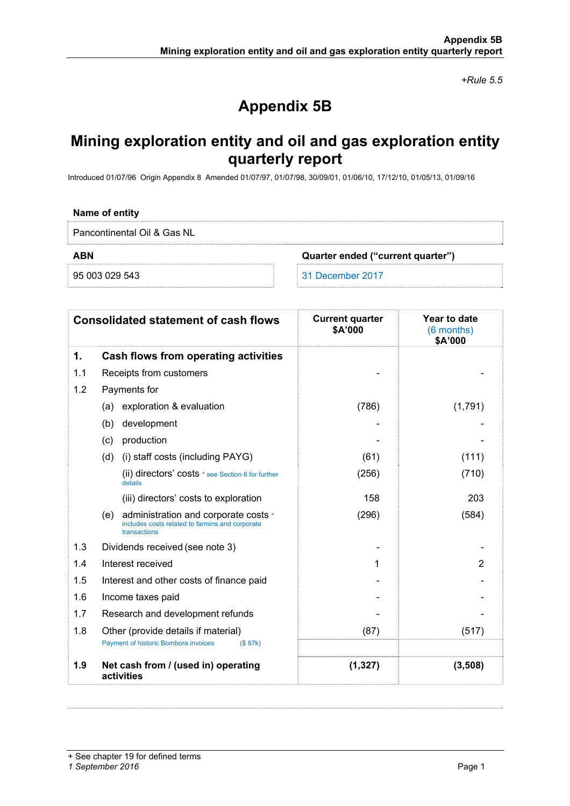*+Rule 5.5* 

# **Appendix 5B**

## **Mining exploration entity and oil and gas exploration entity quarterly report**

Introduced 01/07/96 Origin Appendix 8 Amended 01/07/97, 01/07/98, 30/09/01, 01/06/10, 17/12/10, 01/05/13, 01/09/16

### **Name of entity**

Pancontinental Oil & Gas NL

**ABN Quarter ended ("current quarter")** 

95 003 029 543 31 December 2017

| <b>Consolidated statement of cash flows</b> |                                                                                                                | <b>Current quarter</b><br>\$A'000 | Year to date<br>(6 months)<br>\$A'000 |
|---------------------------------------------|----------------------------------------------------------------------------------------------------------------|-----------------------------------|---------------------------------------|
| 1.                                          | Cash flows from operating activities                                                                           |                                   |                                       |
| 1.1                                         | Receipts from customers                                                                                        |                                   |                                       |
| 1.2                                         | Payments for                                                                                                   |                                   |                                       |
|                                             | (a) exploration & evaluation                                                                                   | (786)                             | (1,791)                               |
|                                             | development<br>(b)                                                                                             |                                   |                                       |
|                                             | production<br>(c)                                                                                              |                                   |                                       |
|                                             | (d)<br>(i) staff costs (including PAYG)                                                                        | (61)                              | (111)                                 |
|                                             | (ii) directors' costs * see Section 6 for further<br>details                                                   | (256)                             | (710)                                 |
|                                             | (iii) directors' costs to exploration                                                                          | 158                               | 203                                   |
|                                             | administration and corporate costs *<br>(e)<br>includes costs related to farmins and corporate<br>transactions | (296)                             | (584)                                 |
| 1.3                                         | Dividends received (see note 3)                                                                                |                                   |                                       |
| 1.4                                         | Interest received                                                                                              | 1                                 | $\overline{2}$                        |
| 1.5                                         | Interest and other costs of finance paid                                                                       |                                   |                                       |
| 1.6                                         | Income taxes paid                                                                                              |                                   |                                       |
| 1.7                                         | Research and development refunds                                                                               |                                   |                                       |
| 1.8                                         | Other (provide details if material)                                                                            | (87)                              | (517)                                 |
|                                             | Payment of historic Bombora invoices<br>(S 87k)                                                                |                                   |                                       |
| 1.9                                         | Net cash from / (used in) operating<br>activities                                                              | (1, 327)                          | (3,508)                               |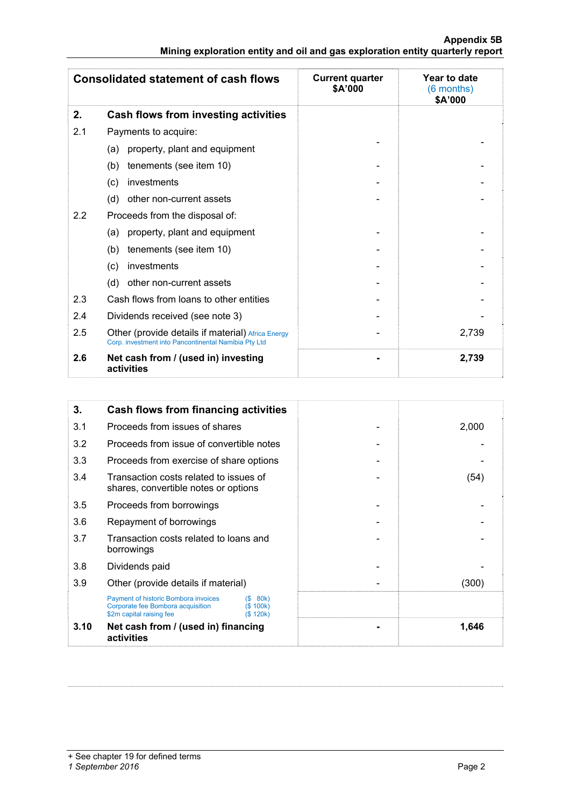### **Appendix 5B Mining exploration entity and oil and gas exploration entity quarterly report**

| <b>Consolidated statement of cash flows</b> |                                                                                                           | <b>Current quarter</b><br>\$A'000 | Year to date<br>(6 months)<br>\$A'000 |
|---------------------------------------------|-----------------------------------------------------------------------------------------------------------|-----------------------------------|---------------------------------------|
| 2.                                          | Cash flows from investing activities                                                                      |                                   |                                       |
| 2.1                                         | Payments to acquire:                                                                                      |                                   |                                       |
|                                             | property, plant and equipment<br>(a)                                                                      |                                   |                                       |
|                                             | tenements (see item 10)<br>(b)                                                                            |                                   |                                       |
|                                             | investments<br>(c)                                                                                        |                                   |                                       |
|                                             | (d)<br>other non-current assets                                                                           |                                   |                                       |
| 2.2                                         | Proceeds from the disposal of:                                                                            |                                   |                                       |
|                                             | property, plant and equipment<br>(a)                                                                      |                                   |                                       |
|                                             | tenements (see item 10)<br>(b)                                                                            |                                   |                                       |
|                                             | investments<br>(c)                                                                                        |                                   |                                       |
|                                             | (d)<br>other non-current assets                                                                           |                                   |                                       |
| 2.3                                         | Cash flows from loans to other entities                                                                   |                                   |                                       |
| 2.4                                         | Dividends received (see note 3)                                                                           |                                   |                                       |
| 2.5                                         | Other (provide details if material) Africa Energy<br>Corp. investment into Pancontinental Namibia Pty Ltd |                                   | 2,739                                 |
| 2.6                                         | Net cash from / (used in) investing<br>activities                                                         |                                   | 2,739                                 |

| 3.   | <b>Cash flows from financing activities</b>                                                           |                                                                                |  |       |
|------|-------------------------------------------------------------------------------------------------------|--------------------------------------------------------------------------------|--|-------|
| 3.1  | Proceeds from issues of shares                                                                        |                                                                                |  | 2,000 |
| 3.2  | Proceeds from issue of convertible notes                                                              |                                                                                |  |       |
| 3.3  | Proceeds from exercise of share options                                                               |                                                                                |  |       |
| 3.4  |                                                                                                       | Transaction costs related to issues of<br>shares, convertible notes or options |  | (54)  |
| 3.5  | Proceeds from borrowings                                                                              |                                                                                |  |       |
| 3.6  | Repayment of borrowings                                                                               |                                                                                |  |       |
| 3.7  | Transaction costs related to loans and<br>borrowings                                                  |                                                                                |  |       |
| 3.8  | Dividends paid                                                                                        |                                                                                |  |       |
| 3.9  | Other (provide details if material)                                                                   |                                                                                |  | (300) |
|      | Payment of historic Bombora invoices<br>Corporate fee Bombora acquisition<br>\$2m capital raising fee | 80k)<br>(S)<br>(S 100k)<br>(S 120k)                                            |  |       |
| 3.10 | Net cash from / (used in) financing<br>activities                                                     |                                                                                |  | 1,646 |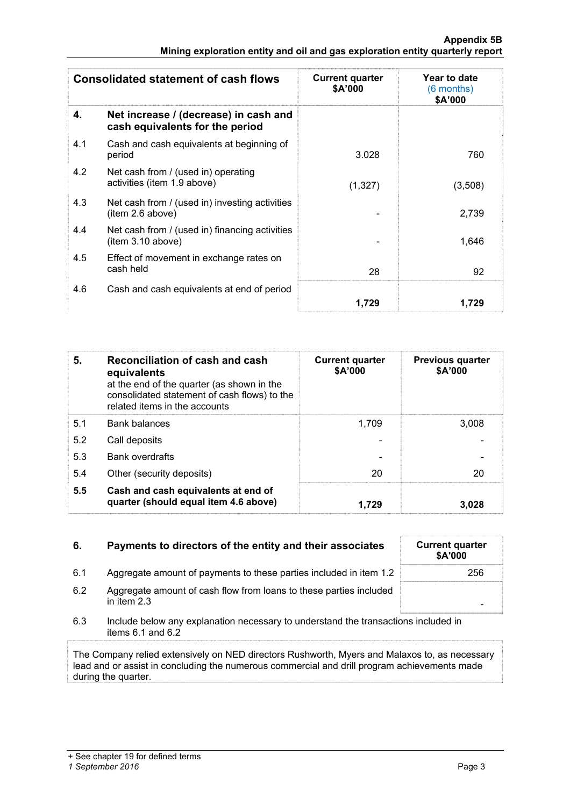| <b>Consolidated statement of cash flows</b> |                                                                          | <b>Current quarter</b><br>\$A'000 | Year to date<br>(6 months)<br>\$A'000 |
|---------------------------------------------|--------------------------------------------------------------------------|-----------------------------------|---------------------------------------|
| 4.                                          | Net increase / (decrease) in cash and<br>cash equivalents for the period |                                   |                                       |
| 4.1                                         | Cash and cash equivalents at beginning of<br>period                      | 3.028                             | 760                                   |
| 4.2                                         | Net cash from / (used in) operating<br>activities (item 1.9 above)       | (1, 327)                          | (3,508)                               |
| 4.3                                         | Net cash from / (used in) investing activities<br>item 2.6 above)        |                                   | 2,739                                 |
| 4.4                                         | Net cash from / (used in) financing activities<br>item 3.10 above)       |                                   | 1,646                                 |
| 4.5                                         | Effect of movement in exchange rates on<br>cash held                     | 28                                | 92                                    |
| 4.6                                         | Cash and cash equivalents at end of period                               |                                   |                                       |
|                                             |                                                                          | 1.729                             | 1.729                                 |

| 5.  | Reconciliation of cash and cash<br>equivalents<br>at the end of the quarter (as shown in the<br>consolidated statement of cash flows) to the<br>related items in the accounts | <b>Current quarter</b><br>\$A'000 | <b>Previous quarter</b><br>\$A'000 |
|-----|-------------------------------------------------------------------------------------------------------------------------------------------------------------------------------|-----------------------------------|------------------------------------|
| 5.1 | <b>Bank balances</b>                                                                                                                                                          | 1.709                             | 3.008                              |
| 5.2 | Call deposits                                                                                                                                                                 |                                   |                                    |
| 5.3 | <b>Bank overdrafts</b>                                                                                                                                                        |                                   |                                    |
| 5.4 | Other (security deposits)                                                                                                                                                     | 20                                | 20                                 |
| 5.5 | Cash and cash equivalents at end of<br>quarter (should equal item 4.6 above)                                                                                                  | 1.729                             | 3,028                              |

| 6.  | Payments to directors of the entity and their associates                                                | <b>Current quarter</b><br><b>\$A'000</b> |
|-----|---------------------------------------------------------------------------------------------------------|------------------------------------------|
| 6.1 | Aggregate amount of payments to these parties included in item 1.2                                      | 256                                      |
| 6.2 | Aggregate amount of cash flow from loans to these parties included<br>in item $2.3$                     |                                          |
| 6.3 | Include below any explanation necessary to understand the transactions included in<br>items 6.1 and 6.2 |                                          |

The Company relied extensively on NED directors Rushworth, Myers and Malaxos to, as necessary lead and or assist in concluding the numerous commercial and drill program achievements made during the quarter.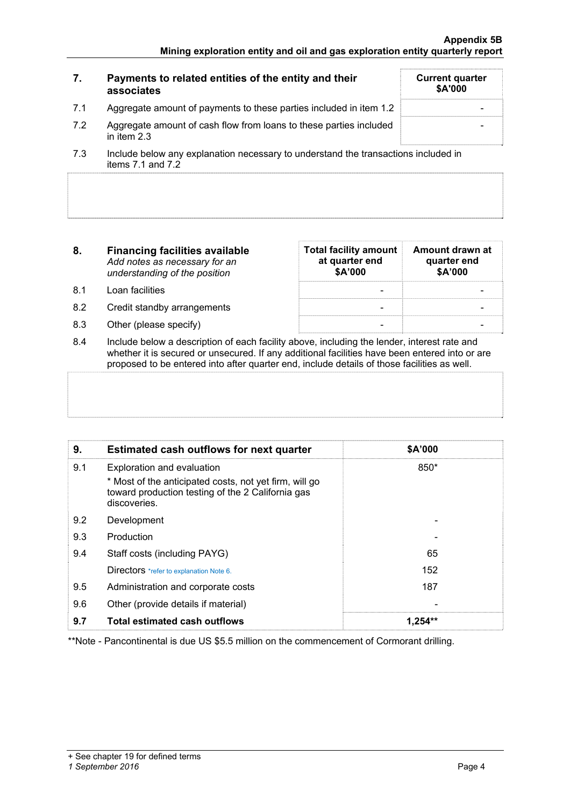| 7.  | Payments to related entities of the entity and their<br>associates                                              | <b>Current quarter</b><br><b>\$A'000</b> |
|-----|-----------------------------------------------------------------------------------------------------------------|------------------------------------------|
| 7.1 | Aggregate amount of payments to these parties included in item 1.2                                              |                                          |
| 7.2 | Aggregate amount of cash flow from loans to these parties included<br>in item $2.3$                             |                                          |
|     | to checke the faces also a contact affect to a detailed the constantial difficult for a capital different anti- |                                          |

- 7.3 Include below any explanation necessary to understand the transactions included in items 7.1 and 7.2
- **8. Financing facilities available** *Add notes as necessary for an understanding of the position*
- 8.1 Loan facilities
- 8.2 Credit standby arrangements
- 8.3 Other (please specify)

| <b>Total facility amount</b><br>at quarter end<br>\$A'000 | Amount drawn at<br>quarter end<br>\$A'000 |  |  |
|-----------------------------------------------------------|-------------------------------------------|--|--|
|                                                           |                                           |  |  |
|                                                           |                                           |  |  |
|                                                           |                                           |  |  |

8.4 Include below a description of each facility above, including the lender, interest rate and whether it is secured or unsecured. If any additional facilities have been entered into or are proposed to be entered into after quarter end, include details of those facilities as well.

| 9.  | <b>Estimated cash outflows for next quarter</b>                                                                             | \$A'000   |
|-----|-----------------------------------------------------------------------------------------------------------------------------|-----------|
| 9.1 | Exploration and evaluation                                                                                                  | 850*      |
|     | * Most of the anticipated costs, not yet firm, will go<br>toward production testing of the 2 California gas<br>discoveries. |           |
| 9.2 | Development                                                                                                                 |           |
| 9.3 | Production                                                                                                                  |           |
| 9.4 | Staff costs (including PAYG)                                                                                                | 65        |
|     | Directors *refer to explanation Note 6.                                                                                     | 152       |
| 9.5 | Administration and corporate costs                                                                                          | 187       |
| 9.6 | Other (provide details if material)                                                                                         |           |
| 9.7 | <b>Total estimated cash outflows</b>                                                                                        | $1.254**$ |

\*\*Note - Pancontinental is due US \$5.5 million on the commencement of Cormorant drilling.